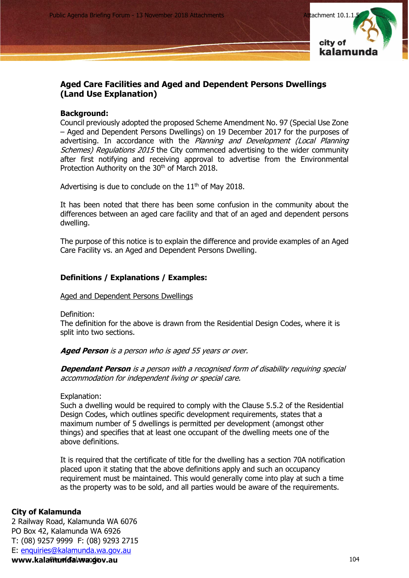Public Agenda Briefing Forum - 13 November 2018 Attachments **Attachment 10.1.1** 



# **Aged Care Facilities and Aged and Dependent Persons Dwellings (Land Use Explanation)**

### **Background:**

Council previously adopted the proposed Scheme Amendment No. 97 (Special Use Zone – Aged and Dependent Persons Dwellings) on 19 December 2017 for the purposes of advertising. In accordance with the Planning and Development (Local Planning Schemes) Regulations 2015 the City commenced advertising to the wider community after first notifying and receiving approval to advertise from the Environmental Protection Authority on the 30<sup>th</sup> of March 2018.

Advertising is due to conclude on the  $11<sup>th</sup>$  of May 2018.

It has been noted that there has been some confusion in the community about the differences between an aged care facility and that of an aged and dependent persons dwelling.

The purpose of this notice is to explain the difference and provide examples of an Aged Care Facility vs. an Aged and Dependent Persons Dwelling.

## **Definitions / Explanations / Examples:**

#### Aged and Dependent Persons Dwellings

Definition:

The definition for the above is drawn from the Residential Design Codes, where it is split into two sections.

**Aged Person** is a person who is aged 55 years or over.

**Dependant Person** is a person with a recognised form of disability requiring special accommodation for independent living or special care.

Explanation:

Such a dwelling would be required to comply with the Clause 5.5.2 of the Residential Design Codes, which outlines specific development requirements, states that a maximum number of 5 dwellings is permitted per development (amongst other things) and specifies that at least one occupant of the dwelling meets one of the above definitions.

It is required that the certificate of title for the dwelling has a section 70A notification placed upon it stating that the above definitions apply and such an occupancy requirement must be maintained. This would generally come into play at such a time as the property was to be sold, and all parties would be aware of the requirements.

#### **City of Kalamunda**

2 Railway Road, Kalamunda WA 6076 PO Box 42, Kalamunda WA 6926 T: (08) 9257 9999 F: (08) 9293 2715 E: [enquiries@kalamunda.wa.gov.au](mailto:enquiries@kalamunda.wa.gov.au)  **www.kala&windalawangov.au**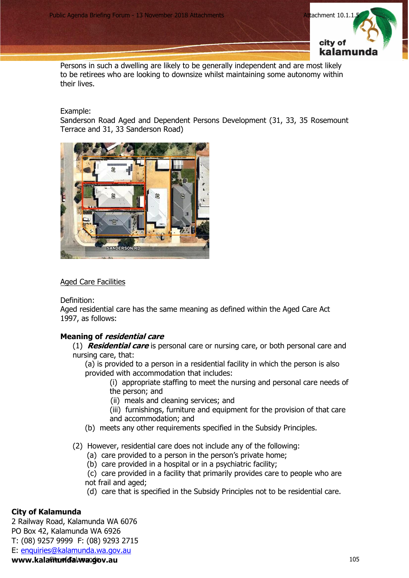

Persons in such a dwelling are likely to be generally independent and are most likely to be retirees who are looking to downsize whilst maintaining some autonomy within their lives.

Example:

Sanderson Road Aged and Dependent Persons Development (31, 33, 35 Rosemount Terrace and 31, 33 Sanderson Road)



Aged Care Facilities

Definition:

Aged residential care has the same meaning as defined within the Aged Care Act 1997, as follows:

## **Meaning of residential care**

(1) **Residential care** is personal care or nursing care, or both personal care and nursing care, that:

(a) is provided to a person in a residential facility in which the person is also provided with accommodation that includes:

> (i) appropriate staffing to meet the nursing and personal care needs of the person; and

- (ii) meals and cleaning services; and
- (iii) furnishings, furniture and equipment for the provision of that care and accommodation; and
- (b) meets any other requirements specified in the Subsidy Principles.

(2) However, residential care does not include any of the following:

- (a) care provided to a person in the person's private home;
- (b) care provided in a hospital or in a psychiatric facility;

(c) care provided in a facility that primarily provides care to people who are not frail and aged;

(d) care that is specified in the Subsidy Principles not to be residential care.

# **City of Kalamunda**

2 Railway Road, Kalamunda WA 6076 PO Box 42, Kalamunda WA 6926 T: (08) 9257 9999 F: (08) 9293 2715 E: [enquiries@kalamunda.wa.gov.au](mailto:enquiries@kalamunda.wa.gov.au)